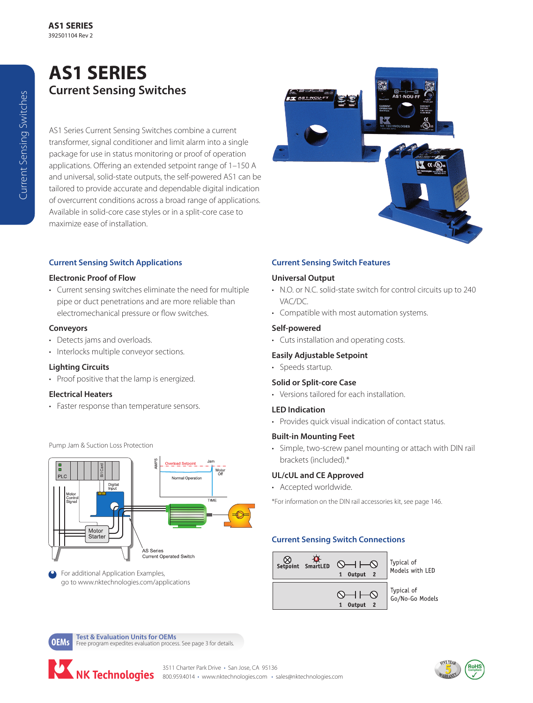# **AS1 SERIES Current Sensing Switches**

AS1 Series Current Sensing Switches combine a current transformer, signal conditioner and limit alarm into a single package for use in status monitoring or proof of operation applications. Offering an extended setpoint range of 1–150 A and universal, solid-state outputs, the self-powered AS1 can be tailored to provide accurate and dependable digital indication of overcurrent conditions across a broad range of applications. Available in solid-core case styles or in a split-core case to maximize ease of installation.

#### **Current Sensing Switch Applications**

#### **Electronic Proof of Flow**

• Current sensing switches eliminate the need for multiple pipe or duct penetrations and are more reliable than electromechanical pressure or flow switches.

#### **Conveyors**

- Detects jams and overloads.
- Interlocks multiple conveyor sections.

#### **Lighting Circuits**

• Proof positive that the lamp is energized.

#### **Electrical Heaters**

• Faster response than temperature sensors.



Pump Jam & Suction Loss Protection

#### For additional Application Examples, go to www.nktechnologies.com/applications



## **Current Sensing Switch Features**

### **Universal Output**

- N.O. or N.C. solid-state switch for control circuits up to 240 VAC/DC.
- Compatible with most automation systems.

#### **Self-powered**

• Cuts installation and operating costs.

#### **Easily Adjustable Setpoint**

• Speeds startup.

#### **Solid or Split-core Case**

• Versions tailored for each installation.

#### **LED Indication**

• Provides quick visual indication of contact status.

#### **Built-in Mounting Feet**

• Simple, two-screw panel mounting or attach with DIN rail brackets (included).\*

#### **UL/cUL and CE Approved**

• Accepted worldwide.

\*For information on the DIN rail accessories kit, see page 146.

#### **Current Sensing Switch Connections**



Models with LED



**OEMs Test & Evaluation Units for OEMs**<br>**OEMS** Free program expedites evaluation process. See page 3 for details.